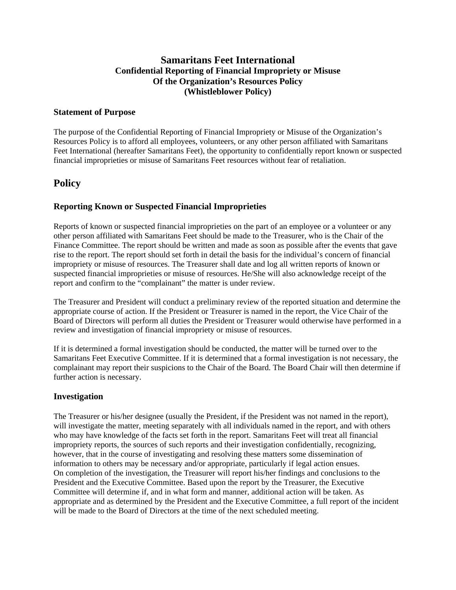## **Samaritans Feet International Confidential Reporting of Financial Impropriety or Misuse Of the Organization's Resources Policy (Whistleblower Policy)**

#### **Statement of Purpose**

The purpose of the Confidential Reporting of Financial Impropriety or Misuse of the Organization's Resources Policy is to afford all employees, volunteers, or any other person affiliated with Samaritans Feet International (hereafter Samaritans Feet), the opportunity to confidentially report known or suspected financial improprieties or misuse of Samaritans Feet resources without fear of retaliation.

# **Policy**

## **Reporting Known or Suspected Financial Improprieties**

Reports of known or suspected financial improprieties on the part of an employee or a volunteer or any other person affiliated with Samaritans Feet should be made to the Treasurer, who is the Chair of the Finance Committee. The report should be written and made as soon as possible after the events that gave rise to the report. The report should set forth in detail the basis for the individual's concern of financial impropriety or misuse of resources. The Treasurer shall date and log all written reports of known or suspected financial improprieties or misuse of resources. He/She will also acknowledge receipt of the report and confirm to the "complainant" the matter is under review.

The Treasurer and President will conduct a preliminary review of the reported situation and determine the appropriate course of action. If the President or Treasurer is named in the report, the Vice Chair of the Board of Directors will perform all duties the President or Treasurer would otherwise have performed in a review and investigation of financial impropriety or misuse of resources.

If it is determined a formal investigation should be conducted, the matter will be turned over to the Samaritans Feet Executive Committee. If it is determined that a formal investigation is not necessary, the complainant may report their suspicions to the Chair of the Board. The Board Chair will then determine if further action is necessary.

### **Investigation**

The Treasurer or his/her designee (usually the President, if the President was not named in the report), will investigate the matter, meeting separately with all individuals named in the report, and with others who may have knowledge of the facts set forth in the report. Samaritans Feet will treat all financial impropriety reports, the sources of such reports and their investigation confidentially, recognizing, however, that in the course of investigating and resolving these matters some dissemination of information to others may be necessary and/or appropriate, particularly if legal action ensues. On completion of the investigation, the Treasurer will report his/her findings and conclusions to the President and the Executive Committee. Based upon the report by the Treasurer, the Executive Committee will determine if, and in what form and manner, additional action will be taken. As appropriate and as determined by the President and the Executive Committee, a full report of the incident will be made to the Board of Directors at the time of the next scheduled meeting.